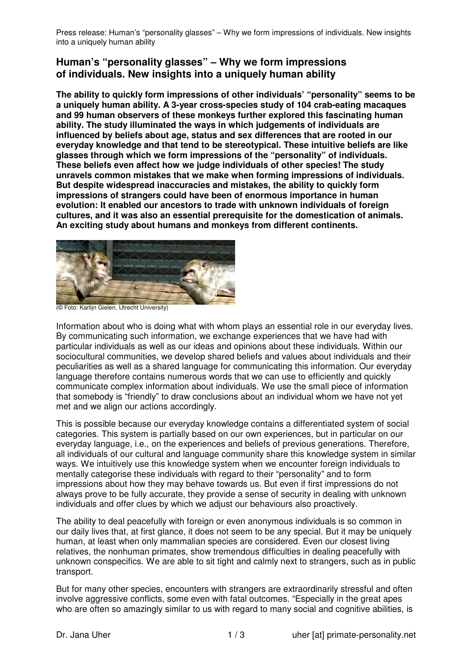Press release: Human's "personality glasses" – Why we form impressions of individuals. New insights into a uniquely human ability

## **Human's "personality glasses" – Why we form impressions of individuals. New insights into a uniquely human ability**

**The ability to quickly form impressions of other individuals' "personality" seems to be a uniquely human ability. A 3-year cross-species study of 104 crab-eating macaques and 99 human observers of these monkeys further explored this fascinating human ability. The study illuminated the ways in which judgements of individuals are influenced by beliefs about age, status and sex differences that are rooted in our everyday knowledge and that tend to be stereotypical. These intuitive beliefs are like glasses through which we form impressions of the "personality" of individuals. These beliefs even affect how we judge individuals of other species! The study unravels common mistakes that we make when forming impressions of individuals. But despite widespread inaccuracies and mistakes, the ability to quickly form impressions of strangers could have been of enormous importance in human evolution: It enabled our ancestors to trade with unknown individuals of foreign cultures, and it was also an essential prerequisite for the domestication of animals. An exciting study about humans and monkeys from different continents.** 



(© Foto: Karlijn Gielen, Utrecht University)

Information about who is doing what with whom plays an essential role in our everyday lives. By communicating such information, we exchange experiences that we have had with particular individuals as well as our ideas and opinions about these individuals. Within our sociocultural communities, we develop shared beliefs and values about individuals and their peculiarities as well as a shared language for communicating this information. Our everyday language therefore contains numerous words that we can use to efficiently and quickly communicate complex information about individuals. We use the small piece of information that somebody is "friendly" to draw conclusions about an individual whom we have not yet met and we align our actions accordingly.

This is possible because our everyday knowledge contains a differentiated system of social categories. This system is partially based on our own experiences, but in particular on our everyday language, i.e., on the experiences and beliefs of previous generations. Therefore, all individuals of our cultural and language community share this knowledge system in similar ways. We intuitively use this knowledge system when we encounter foreign individuals to mentally categorise these individuals with regard to their "personality" and to form impressions about how they may behave towards us. But even if first impressions do not always prove to be fully accurate, they provide a sense of security in dealing with unknown individuals and offer clues by which we adjust our behaviours also proactively.

The ability to deal peacefully with foreign or even anonymous individuals is so common in our daily lives that, at first glance, it does not seem to be any special. But it may be uniquely human, at least when only mammalian species are considered. Even our closest living relatives, the nonhuman primates, show tremendous difficulties in dealing peacefully with unknown conspecifics. We are able to sit tight and calmly next to strangers, such as in public transport.

But for many other species, encounters with strangers are extraordinarily stressful and often involve aggressive conflicts, some even with fatal outcomes. "Especially in the great apes who are often so amazingly similar to us with regard to many social and cognitive abilities, is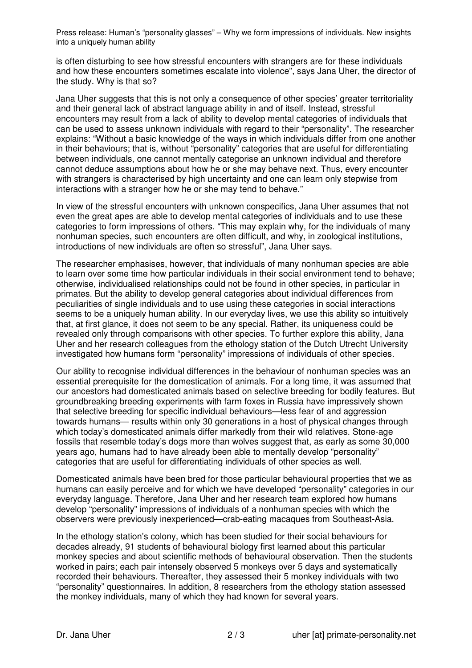Press release: Human's "personality glasses" – Why we form impressions of individuals. New insights into a uniquely human ability

is often disturbing to see how stressful encounters with strangers are for these individuals and how these encounters sometimes escalate into violence", says Jana Uher, the director of the study. Why is that so?

Jana Uher suggests that this is not only a consequence of other species' greater territoriality and their general lack of abstract language ability in and of itself. Instead, stressful encounters may result from a lack of ability to develop mental categories of individuals that can be used to assess unknown individuals with regard to their "personality". The researcher explains: "Without a basic knowledge of the ways in which individuals differ from one another in their behaviours; that is, without "personality" categories that are useful for differentiating between individuals, one cannot mentally categorise an unknown individual and therefore cannot deduce assumptions about how he or she may behave next. Thus, every encounter with strangers is characterised by high uncertainty and one can learn only stepwise from interactions with a stranger how he or she may tend to behave."

In view of the stressful encounters with unknown conspecifics, Jana Uher assumes that not even the great apes are able to develop mental categories of individuals and to use these categories to form impressions of others. "This may explain why, for the individuals of many nonhuman species, such encounters are often difficult, and why, in zoological institutions, introductions of new individuals are often so stressful", Jana Uher says.

The researcher emphasises, however, that individuals of many nonhuman species are able to learn over some time how particular individuals in their social environment tend to behave; otherwise, individualised relationships could not be found in other species, in particular in primates. But the ability to develop general categories about individual differences from peculiarities of single individuals and to use using these categories in social interactions seems to be a uniquely human ability. In our everyday lives, we use this ability so intuitively that, at first glance, it does not seem to be any special. Rather, its uniqueness could be revealed only through comparisons with other species. To further explore this ability, Jana Uher and her research colleagues from the ethology station of the Dutch Utrecht University investigated how humans form "personality" impressions of individuals of other species.

Our ability to recognise individual differences in the behaviour of nonhuman species was an essential prerequisite for the domestication of animals. For a long time, it was assumed that our ancestors had domesticated animals based on selective breeding for bodily features. But groundbreaking breeding experiments with farm foxes in Russia have impressively shown that selective breeding for specific individual behaviours—less fear of and aggression towards humans— results within only 30 generations in a host of physical changes through which today's domesticated animals differ markedly from their wild relatives. Stone-age fossils that resemble today's dogs more than wolves suggest that, as early as some 30,000 years ago, humans had to have already been able to mentally develop "personality" categories that are useful for differentiating individuals of other species as well.

Domesticated animals have been bred for those particular behavioural properties that we as humans can easily perceive and for which we have developed "personality" categories in our everyday language. Therefore, Jana Uher and her research team explored how humans develop "personality" impressions of individuals of a nonhuman species with which the observers were previously inexperienced—crab-eating macaques from Southeast-Asia.

In the ethology station's colony, which has been studied for their social behaviours for decades already, 91 students of behavioural biology first learned about this particular monkey species and about scientific methods of behavioural observation. Then the students worked in pairs; each pair intensely observed 5 monkeys over 5 days and systematically recorded their behaviours. Thereafter, they assessed their 5 monkey individuals with two "personality" questionnaires. In addition, 8 researchers from the ethology station assessed the monkey individuals, many of which they had known for several years.